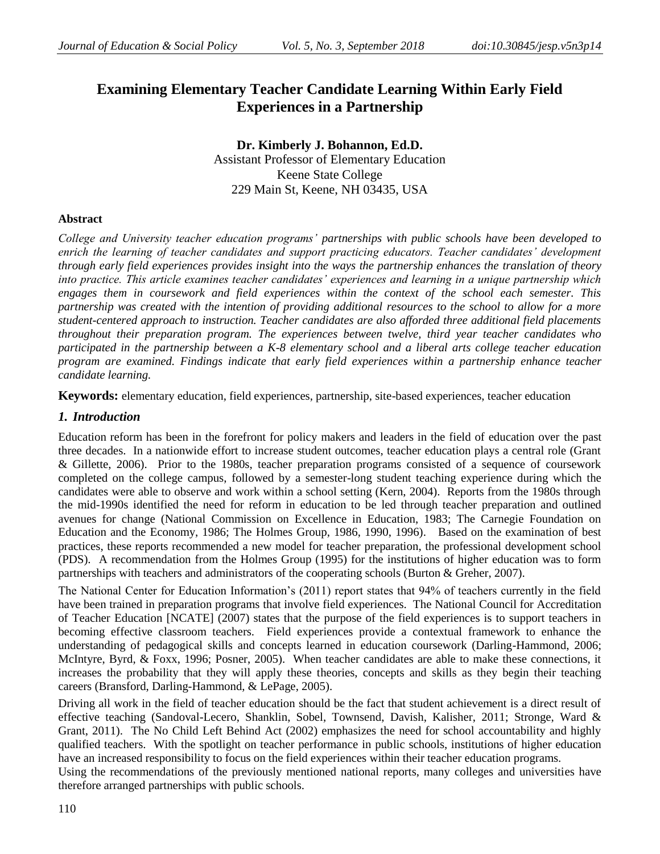# **Examining Elementary Teacher Candidate Learning Within Early Field Experiences in a Partnership**

**Dr. Kimberly J. Bohannon, Ed.D.** Assistant Professor of Elementary Education Keene State College 229 Main St, Keene, NH 03435, USA

# **Abstract**

*College and University teacher education programs' partnerships with public schools have been developed to enrich the learning of teacher candidates and support practicing educators. Teacher candidates' development through early field experiences provides insight into the ways the partnership enhances the translation of theory into practice. This article examines teacher candidates' experiences and learning in a unique partnership which engages them in coursework and field experiences within the context of the school each semester. This partnership was created with the intention of providing additional resources to the school to allow for a more student-centered approach to instruction. Teacher candidates are also afforded three additional field placements throughout their preparation program. The experiences between twelve, third year teacher candidates who participated in the partnership between a K-8 elementary school and a liberal arts college teacher education program are examined. Findings indicate that early field experiences within a partnership enhance teacher candidate learning.*

**Keywords:** elementary education, field experiences, partnership, site-based experiences, teacher education

# *1. Introduction*

Education reform has been in the forefront for policy makers and leaders in the field of education over the past three decades. In a nationwide effort to increase student outcomes, teacher education plays a central role (Grant & Gillette, 2006). Prior to the 1980s, teacher preparation programs consisted of a sequence of coursework completed on the college campus, followed by a semester-long student teaching experience during which the candidates were able to observe and work within a school setting (Kern, 2004). Reports from the 1980s through the mid-1990s identified the need for reform in education to be led through teacher preparation and outlined avenues for change (National Commission on Excellence in Education, 1983; The Carnegie Foundation on Education and the Economy, 1986; The Holmes Group, 1986, 1990, 1996). Based on the examination of best practices, these reports recommended a new model for teacher preparation, the professional development school (PDS). A recommendation from the Holmes Group (1995) for the institutions of higher education was to form partnerships with teachers and administrators of the cooperating schools (Burton & Greher, 2007).

The National Center for Education Information"s (2011) report states that 94% of teachers currently in the field have been trained in preparation programs that involve field experiences. The National Council for Accreditation of Teacher Education [NCATE] (2007) states that the purpose of the field experiences is to support teachers in becoming effective classroom teachers. Field experiences provide a contextual framework to enhance the understanding of pedagogical skills and concepts learned in education coursework (Darling-Hammond, 2006; McIntyre, Byrd, & Foxx, 1996; Posner, 2005). When teacher candidates are able to make these connections, it increases the probability that they will apply these theories, concepts and skills as they begin their teaching careers (Bransford, Darling-Hammond, & LePage, 2005).

Driving all work in the field of teacher education should be the fact that student achievement is a direct result of effective teaching (Sandoval-Lecero, Shanklin, Sobel, Townsend, Davish, Kalisher, 2011; Stronge, Ward & Grant, 2011). The No Child Left Behind Act (2002) emphasizes the need for school accountability and highly qualified teachers. With the spotlight on teacher performance in public schools, institutions of higher education have an increased responsibility to focus on the field experiences within their teacher education programs.

Using the recommendations of the previously mentioned national reports, many colleges and universities have therefore arranged partnerships with public schools.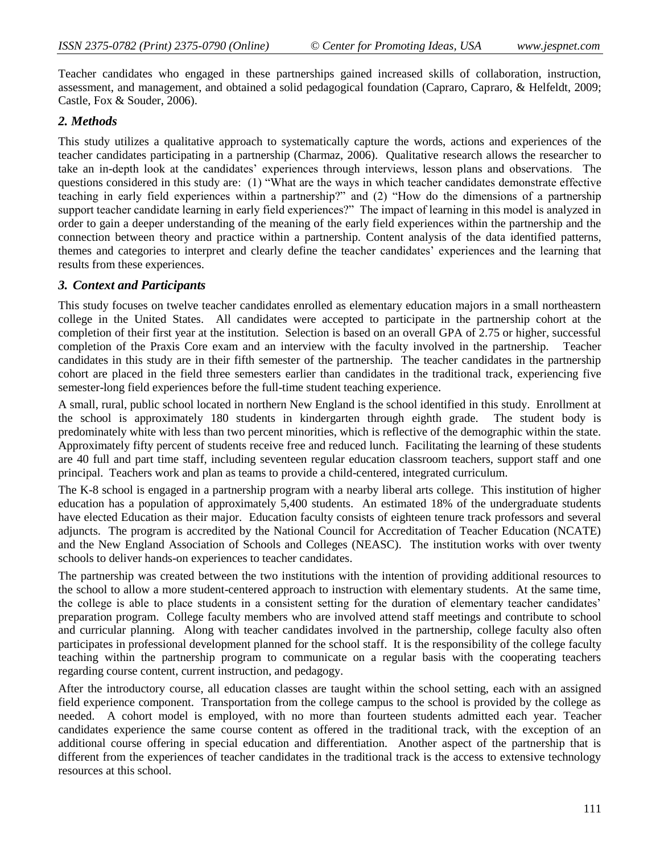Teacher candidates who engaged in these partnerships gained increased skills of collaboration, instruction, assessment, and management, and obtained a solid pedagogical foundation (Capraro, Capraro, & Helfeldt, 2009; Castle, Fox & Souder, 2006).

# *2. Methods*

This study utilizes a qualitative approach to systematically capture the words, actions and experiences of the teacher candidates participating in a partnership (Charmaz, 2006). Qualitative research allows the researcher to take an in-depth look at the candidates" experiences through interviews, lesson plans and observations. The questions considered in this study are: (1) "What are the ways in which teacher candidates demonstrate effective teaching in early field experiences within a partnership?" and (2) "How do the dimensions of a partnership support teacher candidate learning in early field experiences?" The impact of learning in this model is analyzed in order to gain a deeper understanding of the meaning of the early field experiences within the partnership and the connection between theory and practice within a partnership. Content analysis of the data identified patterns, themes and categories to interpret and clearly define the teacher candidates" experiences and the learning that results from these experiences.

## *3. Context and Participants*

This study focuses on twelve teacher candidates enrolled as elementary education majors in a small northeastern college in the United States. All candidates were accepted to participate in the partnership cohort at the completion of their first year at the institution. Selection is based on an overall GPA of 2.75 or higher, successful completion of the Praxis Core exam and an interview with the faculty involved in the partnership. Teacher candidates in this study are in their fifth semester of the partnership. The teacher candidates in the partnership cohort are placed in the field three semesters earlier than candidates in the traditional track, experiencing five semester-long field experiences before the full-time student teaching experience.

A small, rural, public school located in northern New England is the school identified in this study. Enrollment at the school is approximately 180 students in kindergarten through eighth grade. The student body is predominately white with less than two percent minorities, which is reflective of the demographic within the state. Approximately fifty percent of students receive free and reduced lunch. Facilitating the learning of these students are 40 full and part time staff, including seventeen regular education classroom teachers, support staff and one principal. Teachers work and plan as teams to provide a child-centered, integrated curriculum.

The K-8 school is engaged in a partnership program with a nearby liberal arts college. This institution of higher education has a population of approximately 5,400 students. An estimated 18% of the undergraduate students have elected Education as their major. Education faculty consists of eighteen tenure track professors and several adjuncts. The program is accredited by the National Council for Accreditation of Teacher Education (NCATE) and the New England Association of Schools and Colleges (NEASC). The institution works with over twenty schools to deliver hands-on experiences to teacher candidates.

The partnership was created between the two institutions with the intention of providing additional resources to the school to allow a more student-centered approach to instruction with elementary students. At the same time, the college is able to place students in a consistent setting for the duration of elementary teacher candidates" preparation program. College faculty members who are involved attend staff meetings and contribute to school and curricular planning. Along with teacher candidates involved in the partnership, college faculty also often participates in professional development planned for the school staff. It is the responsibility of the college faculty teaching within the partnership program to communicate on a regular basis with the cooperating teachers regarding course content, current instruction, and pedagogy.

After the introductory course, all education classes are taught within the school setting, each with an assigned field experience component. Transportation from the college campus to the school is provided by the college as needed. A cohort model is employed, with no more than fourteen students admitted each year. Teacher candidates experience the same course content as offered in the traditional track, with the exception of an additional course offering in special education and differentiation. Another aspect of the partnership that is different from the experiences of teacher candidates in the traditional track is the access to extensive technology resources at this school.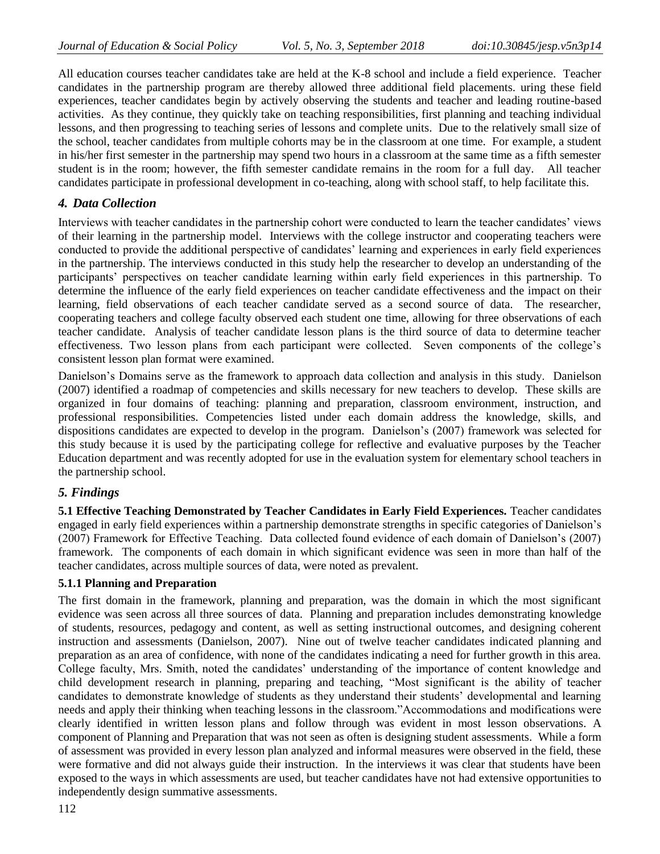All education courses teacher candidates take are held at the K-8 school and include a field experience. Teacher candidates in the partnership program are thereby allowed three additional field placements. uring these field experiences, teacher candidates begin by actively observing the students and teacher and leading routine-based activities. As they continue, they quickly take on teaching responsibilities, first planning and teaching individual lessons, and then progressing to teaching series of lessons and complete units. Due to the relatively small size of the school, teacher candidates from multiple cohorts may be in the classroom at one time. For example, a student in his/her first semester in the partnership may spend two hours in a classroom at the same time as a fifth semester student is in the room; however, the fifth semester candidate remains in the room for a full day. All teacher candidates participate in professional development in co-teaching, along with school staff, to help facilitate this.

# *4. Data Collection*

Interviews with teacher candidates in the partnership cohort were conducted to learn the teacher candidates" views of their learning in the partnership model. Interviews with the college instructor and cooperating teachers were conducted to provide the additional perspective of candidates' learning and experiences in early field experiences in the partnership. The interviews conducted in this study help the researcher to develop an understanding of the participants" perspectives on teacher candidate learning within early field experiences in this partnership. To determine the influence of the early field experiences on teacher candidate effectiveness and the impact on their learning, field observations of each teacher candidate served as a second source of data. The researcher, cooperating teachers and college faculty observed each student one time, allowing for three observations of each teacher candidate. Analysis of teacher candidate lesson plans is the third source of data to determine teacher effectiveness. Two lesson plans from each participant were collected. Seven components of the college"s consistent lesson plan format were examined.

Danielson"s Domains serve as the framework to approach data collection and analysis in this study. Danielson (2007) identified a roadmap of competencies and skills necessary for new teachers to develop. These skills are organized in four domains of teaching: planning and preparation, classroom environment, instruction, and professional responsibilities. Competencies listed under each domain address the knowledge, skills, and dispositions candidates are expected to develop in the program. Danielson"s (2007) framework was selected for this study because it is used by the participating college for reflective and evaluative purposes by the Teacher Education department and was recently adopted for use in the evaluation system for elementary school teachers in the partnership school.

# *5. Findings*

**5.1 Effective Teaching Demonstrated by Teacher Candidates in Early Field Experiences.** Teacher candidates engaged in early field experiences within a partnership demonstrate strengths in specific categories of Danielson"s (2007) Framework for Effective Teaching. Data collected found evidence of each domain of Danielson"s (2007) framework. The components of each domain in which significant evidence was seen in more than half of the teacher candidates, across multiple sources of data, were noted as prevalent.

## **5.1.1 Planning and Preparation**

The first domain in the framework, planning and preparation, was the domain in which the most significant evidence was seen across all three sources of data. Planning and preparation includes demonstrating knowledge of students, resources, pedagogy and content, as well as setting instructional outcomes, and designing coherent instruction and assessments (Danielson, 2007). Nine out of twelve teacher candidates indicated planning and preparation as an area of confidence, with none of the candidates indicating a need for further growth in this area. College faculty, Mrs. Smith, noted the candidates" understanding of the importance of content knowledge and child development research in planning, preparing and teaching, "Most significant is the ability of teacher candidates to demonstrate knowledge of students as they understand their students" developmental and learning needs and apply their thinking when teaching lessons in the classroom."Accommodations and modifications were clearly identified in written lesson plans and follow through was evident in most lesson observations. A component of Planning and Preparation that was not seen as often is designing student assessments. While a form of assessment was provided in every lesson plan analyzed and informal measures were observed in the field, these were formative and did not always guide their instruction. In the interviews it was clear that students have been exposed to the ways in which assessments are used, but teacher candidates have not had extensive opportunities to independently design summative assessments.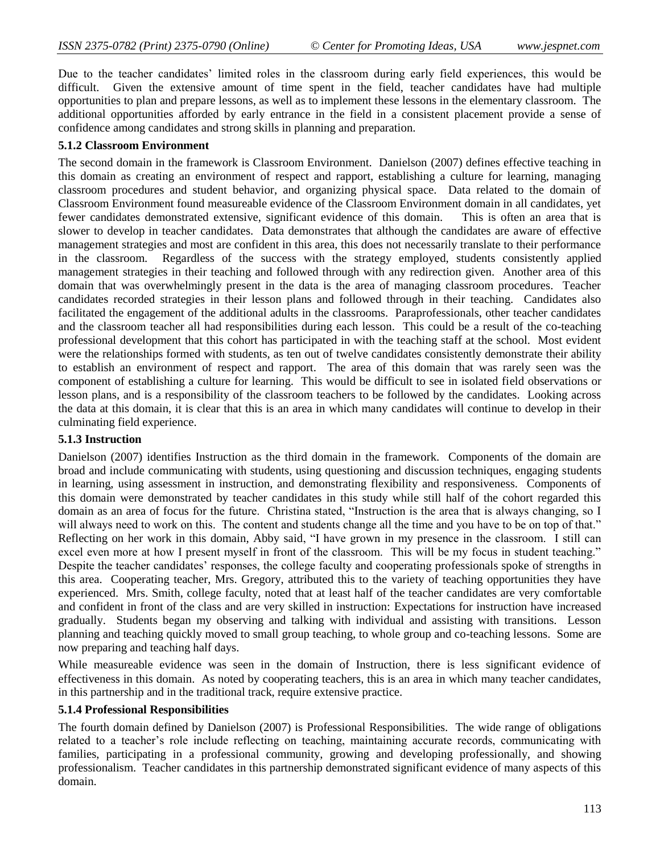Due to the teacher candidates" limited roles in the classroom during early field experiences, this would be difficult. Given the extensive amount of time spent in the field, teacher candidates have had multiple opportunities to plan and prepare lessons, as well as to implement these lessons in the elementary classroom. The additional opportunities afforded by early entrance in the field in a consistent placement provide a sense of confidence among candidates and strong skills in planning and preparation.

### **5.1.2 Classroom Environment**

The second domain in the framework is Classroom Environment. Danielson (2007) defines effective teaching in this domain as creating an environment of respect and rapport, establishing a culture for learning, managing classroom procedures and student behavior, and organizing physical space. Data related to the domain of Classroom Environment found measureable evidence of the Classroom Environment domain in all candidates, yet fewer candidates demonstrated extensive, significant evidence of this domain. This is often an area that is slower to develop in teacher candidates. Data demonstrates that although the candidates are aware of effective management strategies and most are confident in this area, this does not necessarily translate to their performance in the classroom. Regardless of the success with the strategy employed, students consistently applied management strategies in their teaching and followed through with any redirection given. Another area of this domain that was overwhelmingly present in the data is the area of managing classroom procedures. Teacher candidates recorded strategies in their lesson plans and followed through in their teaching. Candidates also facilitated the engagement of the additional adults in the classrooms. Paraprofessionals, other teacher candidates and the classroom teacher all had responsibilities during each lesson. This could be a result of the co-teaching professional development that this cohort has participated in with the teaching staff at the school. Most evident were the relationships formed with students, as ten out of twelve candidates consistently demonstrate their ability to establish an environment of respect and rapport. The area of this domain that was rarely seen was the component of establishing a culture for learning. This would be difficult to see in isolated field observations or lesson plans, and is a responsibility of the classroom teachers to be followed by the candidates. Looking across the data at this domain, it is clear that this is an area in which many candidates will continue to develop in their culminating field experience.

# **5.1.3 Instruction**

Danielson (2007) identifies Instruction as the third domain in the framework. Components of the domain are broad and include communicating with students, using questioning and discussion techniques, engaging students in learning, using assessment in instruction, and demonstrating flexibility and responsiveness. Components of this domain were demonstrated by teacher candidates in this study while still half of the cohort regarded this domain as an area of focus for the future. Christina stated, "Instruction is the area that is always changing, so I will always need to work on this. The content and students change all the time and you have to be on top of that." Reflecting on her work in this domain, Abby said, "I have grown in my presence in the classroom. I still can excel even more at how I present myself in front of the classroom. This will be my focus in student teaching." Despite the teacher candidates' responses, the college faculty and cooperating professionals spoke of strengths in this area. Cooperating teacher, Mrs. Gregory, attributed this to the variety of teaching opportunities they have experienced. Mrs. Smith, college faculty, noted that at least half of the teacher candidates are very comfortable and confident in front of the class and are very skilled in instruction: Expectations for instruction have increased gradually. Students began my observing and talking with individual and assisting with transitions. Lesson planning and teaching quickly moved to small group teaching, to whole group and co-teaching lessons. Some are now preparing and teaching half days.

While measureable evidence was seen in the domain of Instruction, there is less significant evidence of effectiveness in this domain. As noted by cooperating teachers, this is an area in which many teacher candidates, in this partnership and in the traditional track, require extensive practice.

#### **5.1.4 Professional Responsibilities**

The fourth domain defined by Danielson (2007) is Professional Responsibilities. The wide range of obligations related to a teacher's role include reflecting on teaching, maintaining accurate records, communicating with families, participating in a professional community, growing and developing professionally, and showing professionalism. Teacher candidates in this partnership demonstrated significant evidence of many aspects of this domain.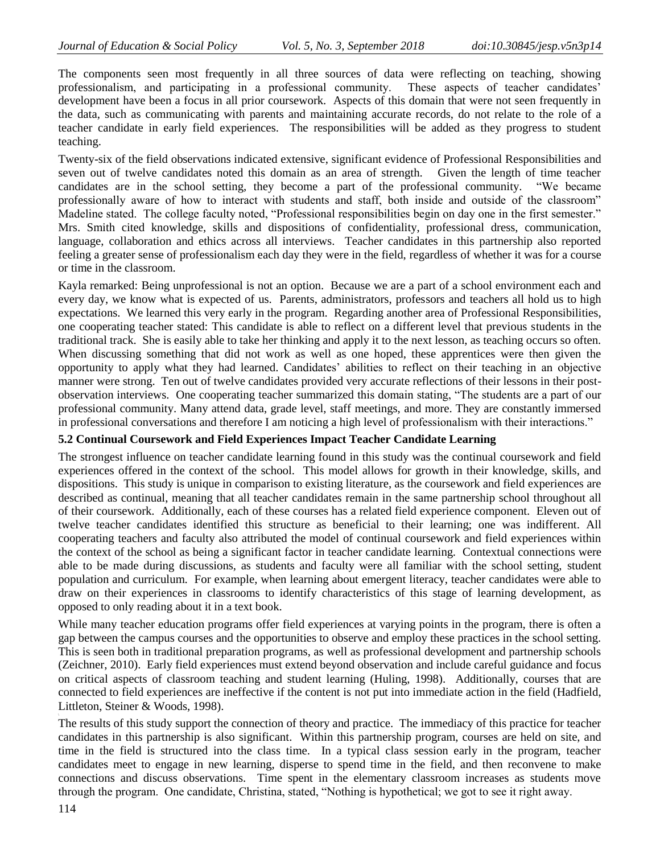The components seen most frequently in all three sources of data were reflecting on teaching, showing professionalism, and participating in a professional community. These aspects of teacher candidates" development have been a focus in all prior coursework. Aspects of this domain that were not seen frequently in the data, such as communicating with parents and maintaining accurate records, do not relate to the role of a teacher candidate in early field experiences. The responsibilities will be added as they progress to student teaching.

Twenty-six of the field observations indicated extensive, significant evidence of Professional Responsibilities and seven out of twelve candidates noted this domain as an area of strength. Given the length of time teacher candidates are in the school setting, they become a part of the professional community. "We became professionally aware of how to interact with students and staff, both inside and outside of the classroom" Madeline stated. The college faculty noted, "Professional responsibilities begin on day one in the first semester." Mrs. Smith cited knowledge, skills and dispositions of confidentiality, professional dress, communication, language, collaboration and ethics across all interviews. Teacher candidates in this partnership also reported feeling a greater sense of professionalism each day they were in the field, regardless of whether it was for a course or time in the classroom.

Kayla remarked: Being unprofessional is not an option. Because we are a part of a school environment each and every day, we know what is expected of us. Parents, administrators, professors and teachers all hold us to high expectations. We learned this very early in the program. Regarding another area of Professional Responsibilities, one cooperating teacher stated: This candidate is able to reflect on a different level that previous students in the traditional track. She is easily able to take her thinking and apply it to the next lesson, as teaching occurs so often. When discussing something that did not work as well as one hoped, these apprentices were then given the opportunity to apply what they had learned. Candidates" abilities to reflect on their teaching in an objective manner were strong. Ten out of twelve candidates provided very accurate reflections of their lessons in their postobservation interviews. One cooperating teacher summarized this domain stating, "The students are a part of our professional community. Many attend data, grade level, staff meetings, and more. They are constantly immersed in professional conversations and therefore I am noticing a high level of professionalism with their interactions."

# **5.2 Continual Coursework and Field Experiences Impact Teacher Candidate Learning**

The strongest influence on teacher candidate learning found in this study was the continual coursework and field experiences offered in the context of the school. This model allows for growth in their knowledge, skills, and dispositions. This study is unique in comparison to existing literature, as the coursework and field experiences are described as continual, meaning that all teacher candidates remain in the same partnership school throughout all of their coursework. Additionally, each of these courses has a related field experience component. Eleven out of twelve teacher candidates identified this structure as beneficial to their learning; one was indifferent. All cooperating teachers and faculty also attributed the model of continual coursework and field experiences within the context of the school as being a significant factor in teacher candidate learning. Contextual connections were able to be made during discussions, as students and faculty were all familiar with the school setting, student population and curriculum. For example, when learning about emergent literacy, teacher candidates were able to draw on their experiences in classrooms to identify characteristics of this stage of learning development, as opposed to only reading about it in a text book.

While many teacher education programs offer field experiences at varying points in the program, there is often a gap between the campus courses and the opportunities to observe and employ these practices in the school setting. This is seen both in traditional preparation programs, as well as professional development and partnership schools (Zeichner, 2010). Early field experiences must extend beyond observation and include careful guidance and focus on critical aspects of classroom teaching and student learning (Huling, 1998). Additionally, courses that are connected to field experiences are ineffective if the content is not put into immediate action in the field (Hadfield, Littleton, Steiner & Woods, 1998).

The results of this study support the connection of theory and practice. The immediacy of this practice for teacher candidates in this partnership is also significant. Within this partnership program, courses are held on site, and time in the field is structured into the class time. In a typical class session early in the program, teacher candidates meet to engage in new learning, disperse to spend time in the field, and then reconvene to make connections and discuss observations. Time spent in the elementary classroom increases as students move through the program. One candidate, Christina, stated, "Nothing is hypothetical; we got to see it right away.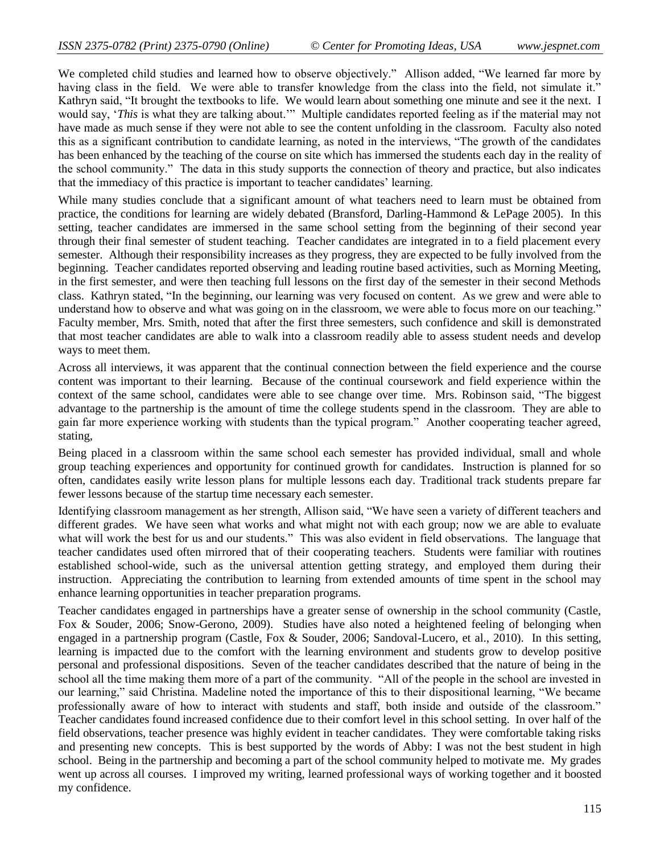We completed child studies and learned how to observe objectively." Allison added, "We learned far more by having class in the field. We were able to transfer knowledge from the class into the field, not simulate it." Kathryn said, "It brought the textbooks to life. We would learn about something one minute and see it the next. I would say, "*This* is what they are talking about."" Multiple candidates reported feeling as if the material may not have made as much sense if they were not able to see the content unfolding in the classroom. Faculty also noted this as a significant contribution to candidate learning, as noted in the interviews, "The growth of the candidates has been enhanced by the teaching of the course on site which has immersed the students each day in the reality of the school community." The data in this study supports the connection of theory and practice, but also indicates that the immediacy of this practice is important to teacher candidates" learning.

While many studies conclude that a significant amount of what teachers need to learn must be obtained from practice, the conditions for learning are widely debated (Bransford, Darling-Hammond & LePage 2005). In this setting, teacher candidates are immersed in the same school setting from the beginning of their second year through their final semester of student teaching. Teacher candidates are integrated in to a field placement every semester. Although their responsibility increases as they progress, they are expected to be fully involved from the beginning. Teacher candidates reported observing and leading routine based activities, such as Morning Meeting, in the first semester, and were then teaching full lessons on the first day of the semester in their second Methods class. Kathryn stated, "In the beginning, our learning was very focused on content. As we grew and were able to understand how to observe and what was going on in the classroom, we were able to focus more on our teaching." Faculty member, Mrs. Smith, noted that after the first three semesters, such confidence and skill is demonstrated that most teacher candidates are able to walk into a classroom readily able to assess student needs and develop ways to meet them.

Across all interviews, it was apparent that the continual connection between the field experience and the course content was important to their learning. Because of the continual coursework and field experience within the context of the same school, candidates were able to see change over time. Mrs. Robinson said, "The biggest advantage to the partnership is the amount of time the college students spend in the classroom. They are able to gain far more experience working with students than the typical program." Another cooperating teacher agreed, stating,

Being placed in a classroom within the same school each semester has provided individual, small and whole group teaching experiences and opportunity for continued growth for candidates. Instruction is planned for so often, candidates easily write lesson plans for multiple lessons each day. Traditional track students prepare far fewer lessons because of the startup time necessary each semester.

Identifying classroom management as her strength, Allison said, "We have seen a variety of different teachers and different grades. We have seen what works and what might not with each group; now we are able to evaluate what will work the best for us and our students." This was also evident in field observations. The language that teacher candidates used often mirrored that of their cooperating teachers. Students were familiar with routines established school-wide, such as the universal attention getting strategy, and employed them during their instruction. Appreciating the contribution to learning from extended amounts of time spent in the school may enhance learning opportunities in teacher preparation programs.

Teacher candidates engaged in partnerships have a greater sense of ownership in the school community (Castle, Fox & Souder, 2006; Snow-Gerono, 2009). Studies have also noted a heightened feeling of belonging when engaged in a partnership program (Castle, Fox & Souder, 2006; Sandoval-Lucero, et al., 2010). In this setting, learning is impacted due to the comfort with the learning environment and students grow to develop positive personal and professional dispositions. Seven of the teacher candidates described that the nature of being in the school all the time making them more of a part of the community. "All of the people in the school are invested in our learning," said Christina. Madeline noted the importance of this to their dispositional learning, "We became professionally aware of how to interact with students and staff, both inside and outside of the classroom." Teacher candidates found increased confidence due to their comfort level in this school setting. In over half of the field observations, teacher presence was highly evident in teacher candidates. They were comfortable taking risks and presenting new concepts. This is best supported by the words of Abby: I was not the best student in high school. Being in the partnership and becoming a part of the school community helped to motivate me. My grades went up across all courses. I improved my writing, learned professional ways of working together and it boosted my confidence.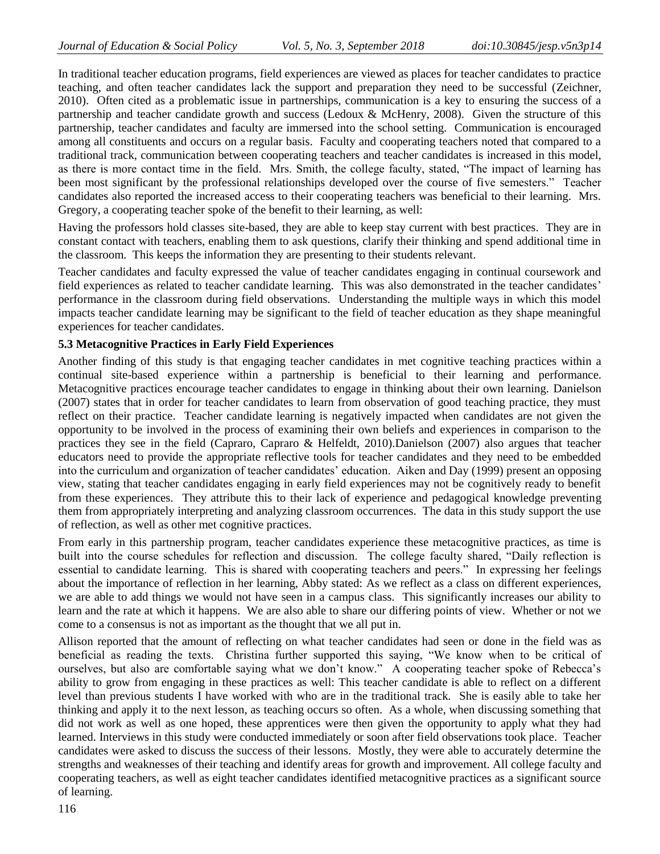In traditional teacher education programs, field experiences are viewed as places for teacher candidates to practice teaching, and often teacher candidates lack the support and preparation they need to be successful (Zeichner, 2010). Often cited as a problematic issue in partnerships, communication is a key to ensuring the success of a partnership and teacher candidate growth and success (Ledoux & McHenry, 2008). Given the structure of this partnership, teacher candidates and faculty are immersed into the school setting. Communication is encouraged among all constituents and occurs on a regular basis. Faculty and cooperating teachers noted that compared to a traditional track, communication between cooperating teachers and teacher candidates is increased in this model, as there is more contact time in the field. Mrs. Smith, the college faculty, stated, "The impact of learning has been most significant by the professional relationships developed over the course of five semesters." Teacher candidates also reported the increased access to their cooperating teachers was beneficial to their learning. Mrs. Gregory, a cooperating teacher spoke of the benefit to their learning, as well:

Having the professors hold classes site-based, they are able to keep stay current with best practices. They are in constant contact with teachers, enabling them to ask questions, clarify their thinking and spend additional time in the classroom. This keeps the information they are presenting to their students relevant.

Teacher candidates and faculty expressed the value of teacher candidates engaging in continual coursework and field experiences as related to teacher candidate learning. This was also demonstrated in the teacher candidates' performance in the classroom during field observations. Understanding the multiple ways in which this model impacts teacher candidate learning may be significant to the field of teacher education as they shape meaningful experiences for teacher candidates.

# **5.3 Metacognitive Practices in Early Field Experiences**

Another finding of this study is that engaging teacher candidates in met cognitive teaching practices within a continual site-based experience within a partnership is beneficial to their learning and performance. Metacognitive practices encourage teacher candidates to engage in thinking about their own learning. Danielson (2007) states that in order for teacher candidates to learn from observation of good teaching practice, they must reflect on their practice. Teacher candidate learning is negatively impacted when candidates are not given the opportunity to be involved in the process of examining their own beliefs and experiences in comparison to the practices they see in the field (Capraro, Capraro & Helfeldt, 2010).Danielson (2007) also argues that teacher educators need to provide the appropriate reflective tools for teacher candidates and they need to be embedded into the curriculum and organization of teacher candidates' education. Aiken and Day (1999) present an opposing view, stating that teacher candidates engaging in early field experiences may not be cognitively ready to benefit from these experiences. They attribute this to their lack of experience and pedagogical knowledge preventing them from appropriately interpreting and analyzing classroom occurrences. The data in this study support the use of reflection, as well as other met cognitive practices.

From early in this partnership program, teacher candidates experience these metacognitive practices, as time is built into the course schedules for reflection and discussion. The college faculty shared, "Daily reflection is essential to candidate learning. This is shared with cooperating teachers and peers." In expressing her feelings about the importance of reflection in her learning, Abby stated: As we reflect as a class on different experiences, we are able to add things we would not have seen in a campus class. This significantly increases our ability to learn and the rate at which it happens. We are also able to share our differing points of view. Whether or not we come to a consensus is not as important as the thought that we all put in.

Allison reported that the amount of reflecting on what teacher candidates had seen or done in the field was as beneficial as reading the texts. Christina further supported this saying, "We know when to be critical of ourselves, but also are comfortable saying what we don"t know." A cooperating teacher spoke of Rebecca"s ability to grow from engaging in these practices as well: This teacher candidate is able to reflect on a different level than previous students I have worked with who are in the traditional track. She is easily able to take her thinking and apply it to the next lesson, as teaching occurs so often. As a whole, when discussing something that did not work as well as one hoped, these apprentices were then given the opportunity to apply what they had learned. Interviews in this study were conducted immediately or soon after field observations took place. Teacher candidates were asked to discuss the success of their lessons. Mostly, they were able to accurately determine the strengths and weaknesses of their teaching and identify areas for growth and improvement. All college faculty and cooperating teachers, as well as eight teacher candidates identified metacognitive practices as a significant source of learning.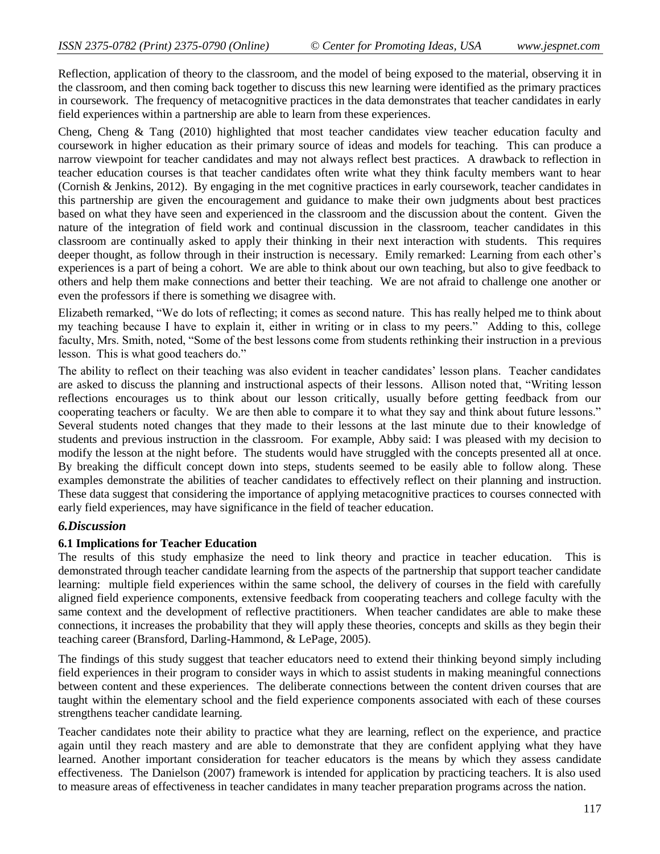Reflection, application of theory to the classroom, and the model of being exposed to the material, observing it in the classroom, and then coming back together to discuss this new learning were identified as the primary practices in coursework. The frequency of metacognitive practices in the data demonstrates that teacher candidates in early field experiences within a partnership are able to learn from these experiences.

Cheng, Cheng & Tang (2010) highlighted that most teacher candidates view teacher education faculty and coursework in higher education as their primary source of ideas and models for teaching. This can produce a narrow viewpoint for teacher candidates and may not always reflect best practices. A drawback to reflection in teacher education courses is that teacher candidates often write what they think faculty members want to hear (Cornish & Jenkins, 2012). By engaging in the met cognitive practices in early coursework, teacher candidates in this partnership are given the encouragement and guidance to make their own judgments about best practices based on what they have seen and experienced in the classroom and the discussion about the content. Given the nature of the integration of field work and continual discussion in the classroom, teacher candidates in this classroom are continually asked to apply their thinking in their next interaction with students. This requires deeper thought, as follow through in their instruction is necessary. Emily remarked: Learning from each other"s experiences is a part of being a cohort. We are able to think about our own teaching, but also to give feedback to others and help them make connections and better their teaching. We are not afraid to challenge one another or even the professors if there is something we disagree with.

Elizabeth remarked, "We do lots of reflecting; it comes as second nature. This has really helped me to think about my teaching because I have to explain it, either in writing or in class to my peers." Adding to this, college faculty, Mrs. Smith, noted, "Some of the best lessons come from students rethinking their instruction in a previous lesson. This is what good teachers do."

The ability to reflect on their teaching was also evident in teacher candidates' lesson plans. Teacher candidates are asked to discuss the planning and instructional aspects of their lessons. Allison noted that, "Writing lesson reflections encourages us to think about our lesson critically, usually before getting feedback from our cooperating teachers or faculty. We are then able to compare it to what they say and think about future lessons." Several students noted changes that they made to their lessons at the last minute due to their knowledge of students and previous instruction in the classroom. For example, Abby said: I was pleased with my decision to modify the lesson at the night before. The students would have struggled with the concepts presented all at once. By breaking the difficult concept down into steps, students seemed to be easily able to follow along. These examples demonstrate the abilities of teacher candidates to effectively reflect on their planning and instruction. These data suggest that considering the importance of applying metacognitive practices to courses connected with early field experiences, may have significance in the field of teacher education.

# *6.Discussion*

## **6.1 Implications for Teacher Education**

The results of this study emphasize the need to link theory and practice in teacher education. This is demonstrated through teacher candidate learning from the aspects of the partnership that support teacher candidate learning: multiple field experiences within the same school, the delivery of courses in the field with carefully aligned field experience components, extensive feedback from cooperating teachers and college faculty with the same context and the development of reflective practitioners. When teacher candidates are able to make these connections, it increases the probability that they will apply these theories, concepts and skills as they begin their teaching career (Bransford, Darling-Hammond, & LePage, 2005).

The findings of this study suggest that teacher educators need to extend their thinking beyond simply including field experiences in their program to consider ways in which to assist students in making meaningful connections between content and these experiences. The deliberate connections between the content driven courses that are taught within the elementary school and the field experience components associated with each of these courses strengthens teacher candidate learning.

Teacher candidates note their ability to practice what they are learning, reflect on the experience, and practice again until they reach mastery and are able to demonstrate that they are confident applying what they have learned. Another important consideration for teacher educators is the means by which they assess candidate effectiveness. The Danielson (2007) framework is intended for application by practicing teachers. It is also used to measure areas of effectiveness in teacher candidates in many teacher preparation programs across the nation.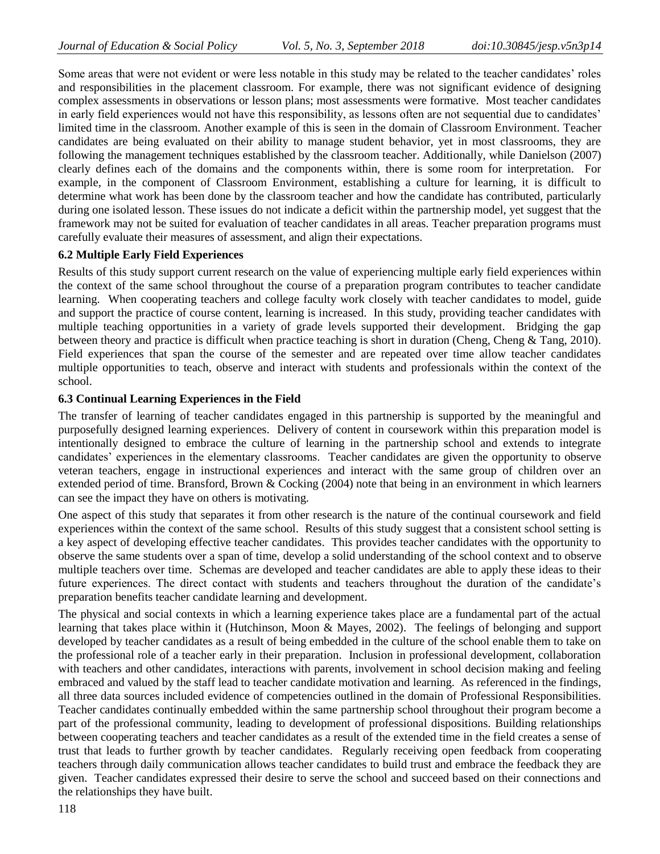Some areas that were not evident or were less notable in this study may be related to the teacher candidates" roles and responsibilities in the placement classroom. For example, there was not significant evidence of designing complex assessments in observations or lesson plans; most assessments were formative. Most teacher candidates in early field experiences would not have this responsibility, as lessons often are not sequential due to candidates" limited time in the classroom. Another example of this is seen in the domain of Classroom Environment. Teacher candidates are being evaluated on their ability to manage student behavior, yet in most classrooms, they are following the management techniques established by the classroom teacher. Additionally, while Danielson (2007) clearly defines each of the domains and the components within, there is some room for interpretation. For example, in the component of Classroom Environment, establishing a culture for learning, it is difficult to determine what work has been done by the classroom teacher and how the candidate has contributed, particularly during one isolated lesson. These issues do not indicate a deficit within the partnership model, yet suggest that the framework may not be suited for evaluation of teacher candidates in all areas. Teacher preparation programs must carefully evaluate their measures of assessment, and align their expectations.

# **6.2 Multiple Early Field Experiences**

Results of this study support current research on the value of experiencing multiple early field experiences within the context of the same school throughout the course of a preparation program contributes to teacher candidate learning. When cooperating teachers and college faculty work closely with teacher candidates to model, guide and support the practice of course content, learning is increased. In this study, providing teacher candidates with multiple teaching opportunities in a variety of grade levels supported their development. Bridging the gap between theory and practice is difficult when practice teaching is short in duration (Cheng, Cheng & Tang, 2010). Field experiences that span the course of the semester and are repeated over time allow teacher candidates multiple opportunities to teach, observe and interact with students and professionals within the context of the school.

## **6.3 Continual Learning Experiences in the Field**

The transfer of learning of teacher candidates engaged in this partnership is supported by the meaningful and purposefully designed learning experiences. Delivery of content in coursework within this preparation model is intentionally designed to embrace the culture of learning in the partnership school and extends to integrate candidates' experiences in the elementary classrooms. Teacher candidates are given the opportunity to observe veteran teachers, engage in instructional experiences and interact with the same group of children over an extended period of time. Bransford, Brown & Cocking (2004) note that being in an environment in which learners can see the impact they have on others is motivating.

One aspect of this study that separates it from other research is the nature of the continual coursework and field experiences within the context of the same school. Results of this study suggest that a consistent school setting is a key aspect of developing effective teacher candidates. This provides teacher candidates with the opportunity to observe the same students over a span of time, develop a solid understanding of the school context and to observe multiple teachers over time. Schemas are developed and teacher candidates are able to apply these ideas to their future experiences. The direct contact with students and teachers throughout the duration of the candidate"s preparation benefits teacher candidate learning and development.

The physical and social contexts in which a learning experience takes place are a fundamental part of the actual learning that takes place within it (Hutchinson, Moon & Mayes, 2002). The feelings of belonging and support developed by teacher candidates as a result of being embedded in the culture of the school enable them to take on the professional role of a teacher early in their preparation. Inclusion in professional development, collaboration with teachers and other candidates, interactions with parents, involvement in school decision making and feeling embraced and valued by the staff lead to teacher candidate motivation and learning. As referenced in the findings, all three data sources included evidence of competencies outlined in the domain of Professional Responsibilities. Teacher candidates continually embedded within the same partnership school throughout their program become a part of the professional community, leading to development of professional dispositions. Building relationships between cooperating teachers and teacher candidates as a result of the extended time in the field creates a sense of trust that leads to further growth by teacher candidates. Regularly receiving open feedback from cooperating teachers through daily communication allows teacher candidates to build trust and embrace the feedback they are given. Teacher candidates expressed their desire to serve the school and succeed based on their connections and the relationships they have built.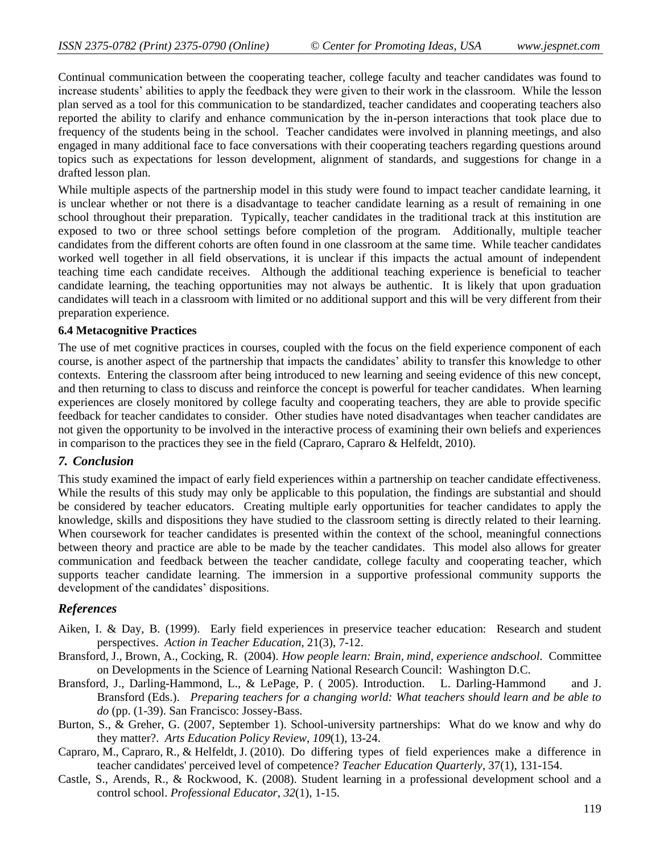Continual communication between the cooperating teacher, college faculty and teacher candidates was found to increase students' abilities to apply the feedback they were given to their work in the classroom. While the lesson plan served as a tool for this communication to be standardized, teacher candidates and cooperating teachers also reported the ability to clarify and enhance communication by the in-person interactions that took place due to frequency of the students being in the school. Teacher candidates were involved in planning meetings, and also engaged in many additional face to face conversations with their cooperating teachers regarding questions around topics such as expectations for lesson development, alignment of standards, and suggestions for change in a drafted lesson plan.

While multiple aspects of the partnership model in this study were found to impact teacher candidate learning, it is unclear whether or not there is a disadvantage to teacher candidate learning as a result of remaining in one school throughout their preparation. Typically, teacher candidates in the traditional track at this institution are exposed to two or three school settings before completion of the program. Additionally, multiple teacher candidates from the different cohorts are often found in one classroom at the same time. While teacher candidates worked well together in all field observations, it is unclear if this impacts the actual amount of independent teaching time each candidate receives. Although the additional teaching experience is beneficial to teacher candidate learning, the teaching opportunities may not always be authentic. It is likely that upon graduation candidates will teach in a classroom with limited or no additional support and this will be very different from their preparation experience.

#### **6.4 Metacognitive Practices**

The use of met cognitive practices in courses, coupled with the focus on the field experience component of each course, is another aspect of the partnership that impacts the candidates" ability to transfer this knowledge to other contexts. Entering the classroom after being introduced to new learning and seeing evidence of this new concept, and then returning to class to discuss and reinforce the concept is powerful for teacher candidates. When learning experiences are closely monitored by college faculty and cooperating teachers, they are able to provide specific feedback for teacher candidates to consider. Other studies have noted disadvantages when teacher candidates are not given the opportunity to be involved in the interactive process of examining their own beliefs and experiences in comparison to the practices they see in the field (Capraro, Capraro & Helfeldt, 2010).

# *7. Conclusion*

This study examined the impact of early field experiences within a partnership on teacher candidate effectiveness. While the results of this study may only be applicable to this population, the findings are substantial and should be considered by teacher educators. Creating multiple early opportunities for teacher candidates to apply the knowledge, skills and dispositions they have studied to the classroom setting is directly related to their learning. When coursework for teacher candidates is presented within the context of the school, meaningful connections between theory and practice are able to be made by the teacher candidates. This model also allows for greater communication and feedback between the teacher candidate, college faculty and cooperating teacher, which supports teacher candidate learning. The immersion in a supportive professional community supports the development of the candidates' dispositions.

## *References*

- Aiken, I. & Day, B. (1999). Early field experiences in preservice teacher education: Research and student perspectives. *Action in Teacher Education*, 21(3), 7-12.
- Bransford, J., Brown, A., Cocking, R. (2004). *[How people learn: Brain, mind, experience ands](http://www.nap.edu/catalog.php?record_id=6160)chool.* Committee on Developments in the Science of Learning National Research Council: Washington D.C.
- Bransford, J., Darling-Hammond, L., & LePage, P. ( 2005). Introduction. L. Darling-Hammond and J. Bransford (Eds.). *Preparing teachers for a changing world: What teachers should learn and be able to do* (pp. (1-39). San Francisco: Jossey-Bass.
- Burton, S., & Greher, G. (2007, September 1). School-university partnerships: What do we know and why do they matter?. *Arts Education Policy Review*, *109*(1), 13-24.
- Capraro, M., Capraro, R., & Helfeldt, J. (2010). Do differing types of field experiences make a difference in teacher candidates' perceived level of competence? *Teacher Education Quarterly*, 37(1), 131-154.
- Castle, S., Arends, R., & Rockwood, K. (2008). Student learning in a professional development school and a control school. *Professional Educator*, *32*(1), 1-15.